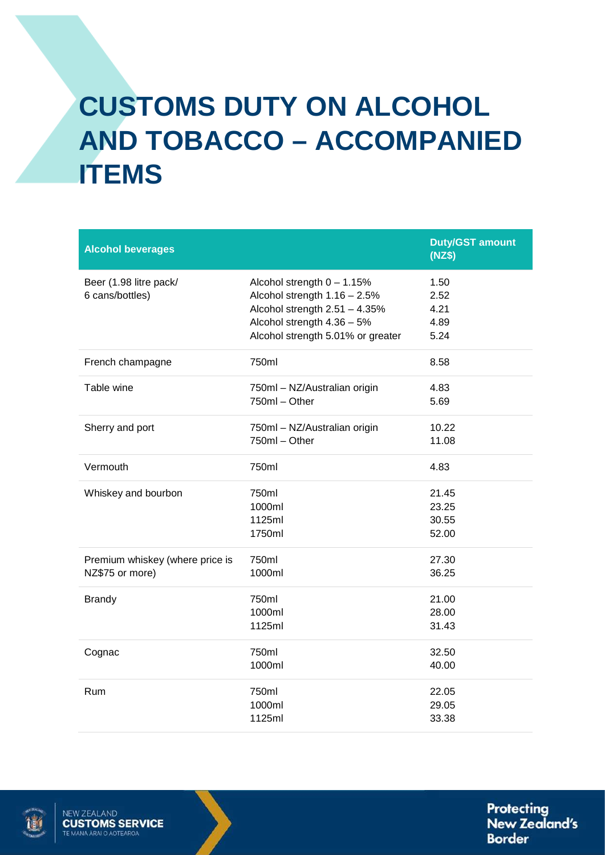## **CUSTOMS DUTY ON ALCOHOL AND TOBACCO – ACCOMPANIED ITEMS**

| <b>Alcohol beverages</b>                           |                                                                                                                                                                     | <b>Duty/GST amount</b><br>(NZ\$)     |
|----------------------------------------------------|---------------------------------------------------------------------------------------------------------------------------------------------------------------------|--------------------------------------|
| Beer (1.98 litre pack/<br>6 cans/bottles)          | Alcohol strength $0 - 1.15%$<br>Alcohol strength $1.16 - 2.5\%$<br>Alcohol strength 2.51 - 4.35%<br>Alcohol strength 4.36 - 5%<br>Alcohol strength 5.01% or greater | 1.50<br>2.52<br>4.21<br>4.89<br>5.24 |
| French champagne                                   | 750ml                                                                                                                                                               | 8.58                                 |
| Table wine                                         | 750ml - NZ/Australian origin<br>750ml - Other                                                                                                                       | 4.83<br>5.69                         |
| Sherry and port                                    | 750ml - NZ/Australian origin<br>750ml - Other                                                                                                                       | 10.22<br>11.08                       |
| Vermouth                                           | 750ml                                                                                                                                                               | 4.83                                 |
| Whiskey and bourbon                                | 750ml<br>1000ml<br>1125ml<br>1750ml                                                                                                                                 | 21.45<br>23.25<br>30.55<br>52.00     |
| Premium whiskey (where price is<br>NZ\$75 or more) | 750ml<br>1000ml                                                                                                                                                     | 27.30<br>36.25                       |
| <b>Brandy</b>                                      | 750ml<br>1000ml<br>1125ml                                                                                                                                           | 21.00<br>28.00<br>31.43              |
| Cognac                                             | 750ml<br>1000ml                                                                                                                                                     | 32.50<br>40.00                       |
| Rum                                                | 750ml<br>1000ml<br>1125ml                                                                                                                                           | 22.05<br>29.05<br>33.38              |



**Protecting New Zealand's Border**